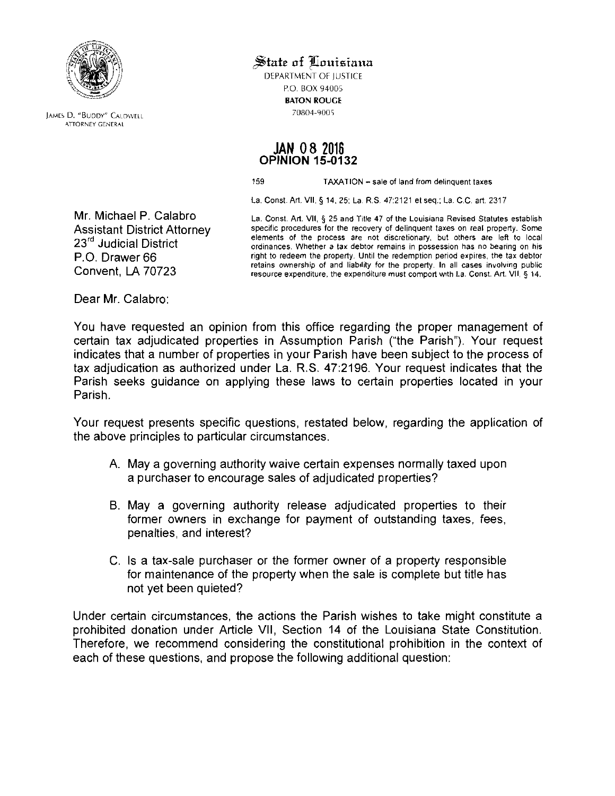

**JAMES D. "BUDDY" CALDWELL** ATTORNEY GENERAl

 $\mathcal{\mathbf{\mathbb{S}}}$ tate of Louisiana

DEPARTMENT OF IUSTICE P.O. BOX 94005 BATON ROUGE

#### **JAN** 08 2016 OPINION 15-0132

159 TAXA**liON** - sale of land from delinquent taxes

La. Const. Art. VII, § 14, 25; La RS. 47:2121 el seq.: La. C.C. art. 2317

Mr. Michael P. Calabro La. Const. Art. VII, § 25 and Title 47 of the Louisiana Revised Statutes establish Assistant District Attorney specific procedures for the recovery of delinquent taxes on real property. Some<br>23<sup>rd</sup> Judicial District example on ordinances Whether a tax debtor remains in possession has no bearing on his ordinances. Whether a tax debtor remains in possession has no bearing on his P.O. Drawer 66 right to redeem the property. Until the redemption period expires, the tax debtor retains ownership of and liability for the property. In all cases involving public retains ownership of and liability for the property. **In** all cases involving public Convent, LA 70723 resource expenditure, the expenditure must comport with La. *Canst.* Art. VII, § 14.

Dear Mr. Calabro:

You have requested an opinion from this office regarding the proper management of certain tax adjudicated properties in Assumption Parish ("the Parish") Your request indicates that a number of properties in your Parish have been subject to the process of tax adjudication as authorized under La, R.S. 47:2196. Your request indicates that the Parish seeks guidance on applying these laws to certain properties located in your Parish.

Your request presents specific questions, restated below, regarding the application of the above principles to particular circumstances,

- A. May a governing authority waive certain expenses normally taxed upon a purchaser to encourage sales of adjudicated properties?
- B. May a governing authority release adjudicated properties to their former owners in exchange for payment of outstanding taxes, fees, penalties, and interest?
- C. Is a tax-sale purchaser or the former owner of a property responsible for maintenance of the property when the sale is complete but title has not yet been quieted?

Under certain circumstances, the actions the Parish wishes to take might constitute a prohibited donation under Article VII, Section 14 of the Louisiana State Constitution. Therefore, we recommend considering the constitutional prohibition in the context of each of these questions, and propose the following additional question: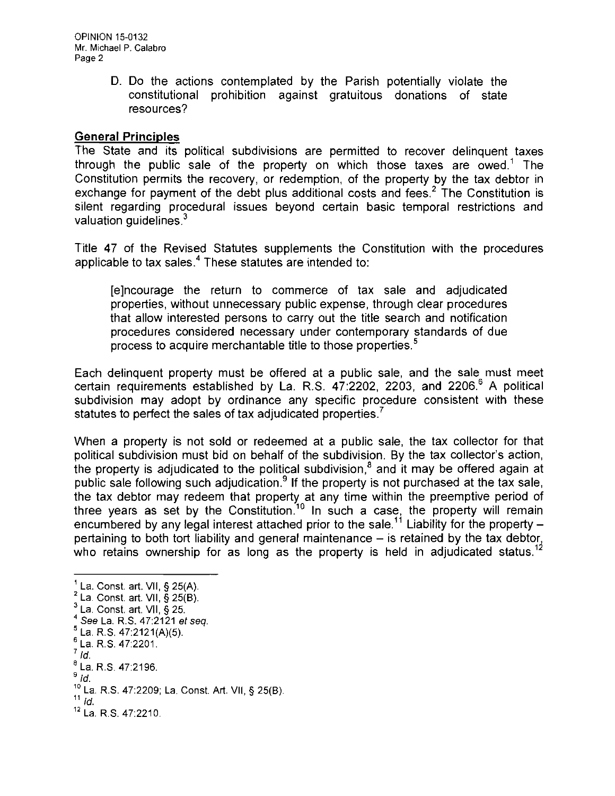OPINION 15-0132 Mr. Michael P. Calabro Page 2

> D. Do the actions contemplated by the Parish potentially violate the constitutional prohibition against gratuitous donations of state resources?

#### **General Principles**

The State and its political subdivisions are permitted to recover delinquent taxes through the public sale of the property on which those taxes are owed.' The Constitution permits the recovery, or redemption, of the property by the tax debtor in exchange for payment of the debt plus additional costs and fees.<sup>2</sup> The Constitution is silent regarding procedural issues beyond certain basic temporal restrictions and valuation quidelines. $3$ 

Title 47 of the Revised Statutes supplements the Constitution with the procedures applicable to tax sales.<sup>4</sup> These statutes are intended to:

[e]ncourage the return to commerce of tax sale and adjudicated properties, without unnecessary public expense, through clear procedures that allow interested persons to carry out the title search and notification procedures considered necessary under contemporary standards of due process to acquire merchantable title to those properties.<sup>5</sup>

Each delinquent property must be offered at a public sale, and the sale must meet certain requirements established by La. R.S. 47:2202, 2203, and 2206.<sup>6</sup> A political subdivision may adopt by ordinance any specific procedure consistent with these statutes to perfect the sales of tax adjudicated properties.<sup>7</sup>

When a property is not sold or redeemed at a public sale, the tax collector for that political subdivision must bid on behalf of the subdivision. By the tax collector's action, the property is adjudicated to the political subdivision.<sup>8</sup> and it may be offered again at public sale following such adjudication.<sup>9</sup> If the property is not purchased at the tax sale, the tax debtor may redeem that property at any time within the preemptive period of three years as set by the Constitution.<sup>10</sup> In such a case, the property will remain encumbered by any legal interest attached prior to the sale.<sup>11</sup> Liability for the property – pertaining to both tort liability and general maintenance  $-$  is retained by the tax debtor, who retains ownership for as long as the property is held in adjudicated status.<sup>12</sup>

<sup>,</sup> La. Const. art. VII, § 25(A).  $2$  La. Const. art. VII,  $\S 25(B)$ .  $<sup>3</sup>$  La. Const. art. VII, § 25.</sup> *4* See La. R.S. 47:2121 et seq.  $<sup>5</sup>$  La. R.S. 47:2121(A)(5).</sup>  $6$  La. R.S. 47:2201.  $^7$  *Id.* 8 La. R.S. 47:2196. *9/d.*  10 La. R.S. 47:2209; La. Const. Art. VII, § 25(6).  $11$  Id.  $\blacksquare$  $12$  La. R.S. 47:2210.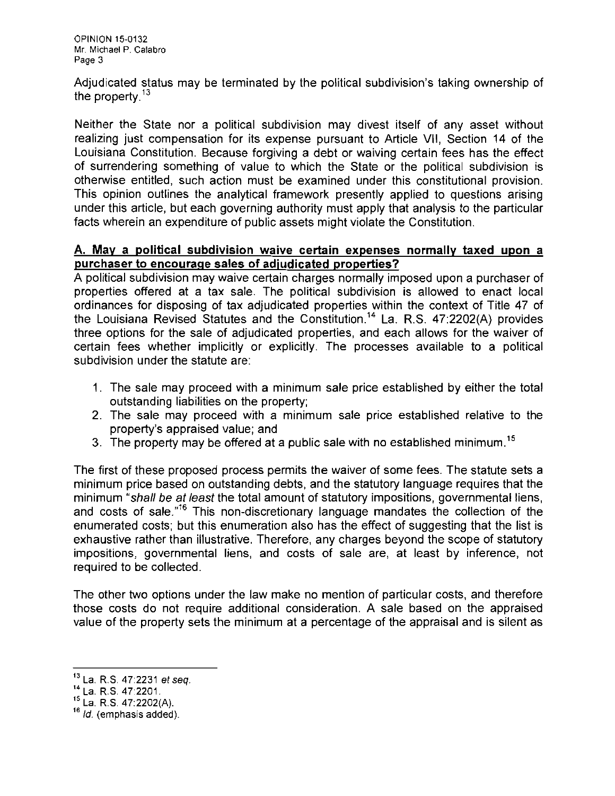Adjudicated status may be terminated by the political subdivision's taking ownership of the property. $13$ 

Neither the State nor a political subdivision may divest itself of any asset without realizing just compensation for its expense pursuant to Article VII, Section 14 of the Louisiana Constitution. Because forgiving a debt or waiving certain fees has the effect of surrendering something of value to which the State or the political subdivision is otherwise entitled, such action must be examined under this constitutional provision. This opinion outlines the analytical framework presently applied to questions arising under this article, but each governing authority must apply that analysis to the particular facts wherein an expenditure of public assets might violate the Constitution.

#### A. **May a political subdivision waive certain expenses normally taxed upon a purchaser to encourage sales of adjudicated properties?**

A political subdivision may waive certain charges normally imposed upon a purchaser of properties offered at a tax sale. The political subdivision is allowed to enact local ordinances for disposing of tax adjudicated properties within the context of Title 47 of the Louisiana Revised Statutes and the Constitution." La. R.S. 47:2202(A) provides three options for the sale of adjudicated properties, and each allows for the waiver of certain fees whether implicitly or explicitly. The processes available to a political subdivision under the statute are:

- 1. The sale may proceed with a minimum sale price established by either the total outstanding liabilities on the property;
- 2. The sale may proceed with a minimum sale price established relative to the property's appraised value; and
- 3. The property may be offered at a public sale with no established minimum.<sup>15</sup>

The first of these proposed process permits the waiver of some fees. The statute sets a minimum price based on outstanding debts, and the statutory language requires that the minimum "shall be at least the total amount of statutory impositions, governmental liens, and costs of sale."<sup>16</sup> This non-discretionary language mandates the collection of the enumerated costs: but this enumeration also has the effect of suggesting that the list is exhaustive rather than illustrative. Therefore, any charges beyond the scope of statutory impositions, governmental liens, and costs of sale are, at least by inference, not required to be collected.

The other two options under the law make no mention of particular costs, and therefore those costs do not require additional consideration. A sale based on the appraised value of the property sets the minimum at a percentage of the appraisal and is silent as

 $13$  La. R.S. 47:2231 et seq.

<sup>14</sup> La. R.S. 47:2201.

 $^{15}$  La. R.S. 47:2202(A).

<sup>&</sup>lt;sup>16</sup> *ld.* (emphasis added).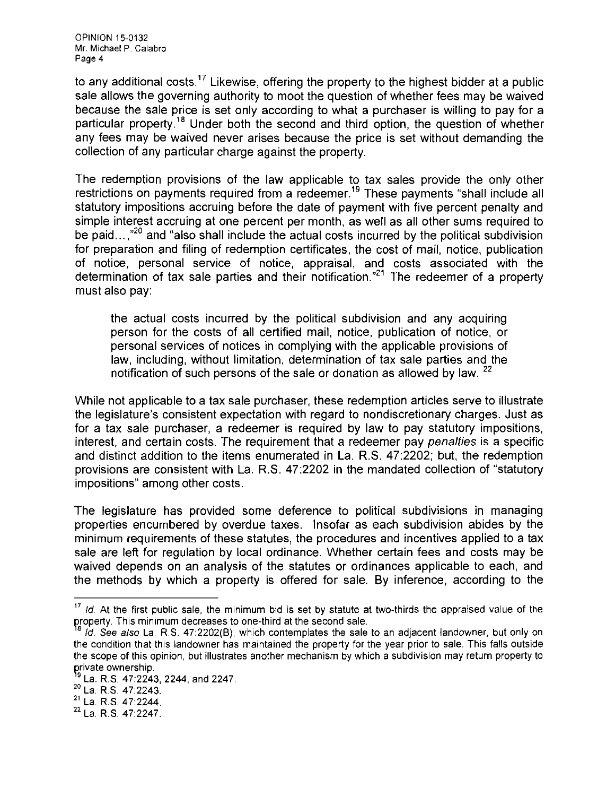to any additional costs.<sup>17</sup> Likewise, offering the property to the highest bidder at a public sale allows the governing authority to moot the question of whether fees may be waived because the sale price is set only according to what a purchaser is willing to pay for a particular property.<sup>18</sup> Under both the second and third option, the question of whether any fees may be waived never arises because the price is set without demanding the collection of any particular charge against the property.

The redemption provisions of the law applicable to tax sales provide the only other restrictions on payments required from a redeemer.<sup>19</sup> These payments "shall include all statutory impositions accruing before the date of payment with five percent penalty and simple interest accruing at one percent per month, as well as all other sums required to be paid.... $n^{20}$  and "also shall include the actual costs incurred by the political subdivision for preparation and filing of redemption certificates, the cost of mail, notice, publication of notice, personal service of notice, appraisal, and costs associated with the determination of tax sale parties and their notification."<sup>21</sup> The redeemer of a property must also pay:

the actual costs incurred by the political subdivision and any acquiring person for the costs of all certified mail, notice, publication of notice, or personal services of notices in complying with the applicable provisions of law, including, without limitation, determination of tax sale parties and the notification of such persons of the sale or donation as allowed by law. <sup>22</sup>

While not applicable to a tax sale purchaser, these redemption articles serve to illustrate the legislature's consistent expectation with regard to nondiscretionary charges. Just as for a tax sale purchaser, a redeemer is required by law to pay statutory impositions, interest, and certain costs. The requirement that a redeemer pay *penalties* is a specific and distinct addition to the items enumerated in La. R.S. 47:2202; but, the redemption provisions are consistent with La. R.S. 47:2202 in the mandated collection of "statutory impositions" among other costs.

The legislature has provided some deference to political subdivisions in managing properties encumbered by overdue taxes. Insofar as each subdivision abides by the minimum requirements of these statutes, the procedures and incentives applied to a tax sale are left for regulation by local ordinance. Whether certain fees and costs may be waived depends on an analysis of the statutes or ordinances applicable to each, and the methods by which a property is offered for sale. By inference, according to the

 $17$  Id. At the first public sale, the minimum bid is set by statute at two-thirds the appraised value of the property. This minimum decreases to one-third at the second sale.

 $\degree$  *Id. See also* La. R.S. 47:2202(B), which contemplates the sale to an adjacent landowner, but only on the condition that this landowner has maintained the property for the year prior to sale. This falls outside the scope of this opinion, but illustrates another mechanism by which a subdivision may return property to private ownership.

<sup>&</sup>lt;sup>19</sup> La. R.S. 47:2243, 2244, and 2247.

<sup>20</sup>La. R.S. 47:2243.

 $^{21}$  La. R.S. 47:2244.

<sup>22</sup> La. R.S. 47:2247.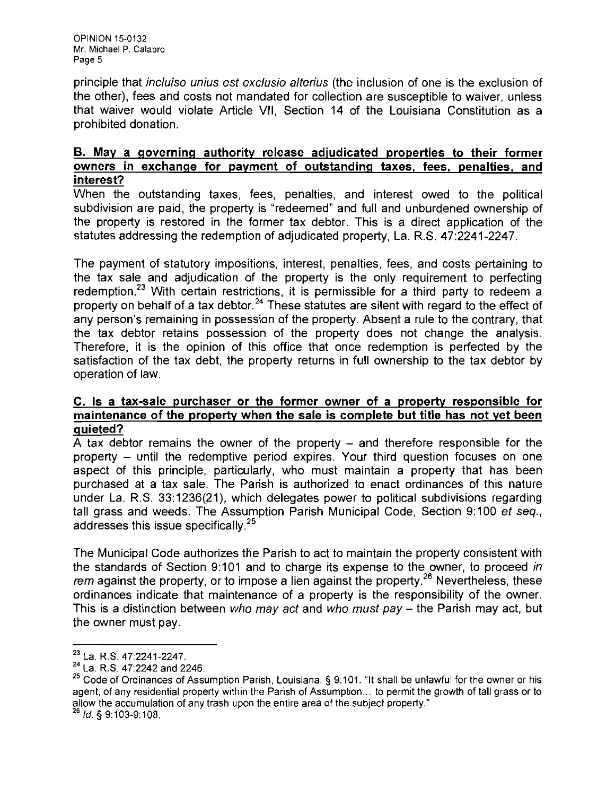principle that incluiso unius est exclusio alterius (the inclusion of one is the exclusion of the other), fees and costs not mandated for collection are susceptible to waiver, unless that waiver would violate Article VII, Section 14 of the Louisiana Constitution as a prohibited donation.

## B. May a governing authority release adjudicated properties to their former owners in exchange for payment of outstanding taxes, fees, penalties, and interest?

When the outstanding taxes, fees, penalties, and interest owed to the political subdivision are paid, the property is "redeemed" and full and unburdened ownership of the property is restored in the former tax debtor. This is a direct application of the statutes addressing the redemption of adjudicated property, La. R.S. 47:2241-2247.

The payment of statutory impositions, interest, penalties, fees, and costs pertaining to the tax sale and adjudication of the property is the only requirement to perfecting redemption.<sup>23</sup> With certain restrictions, it is permissible for a third party to redeem a property on behalf of a tax debtor.<sup>24</sup> These statutes are silent with regard to the effect of any person's remaining in possession of the property. Absent a rule to the contrary, that the tax debtor retains possession of the property does not change the analysis. Therefore, it is the opinion of this office that once redemption is perfected by the satisfaction of the tax debt, the property returns in full ownership to the tax debtor by operation of law.

### C. Is a tax-sale purchaser or the former owner of a property responsible for maintenance of the property when the sale is complete but title has not yet been quieted?

A tax debtor remains the owner of the property  $-$  and therefore responsible for the property - until the redemptive period expires. Your third question focuses on one aspect of this principle, particularly, who must maintain a property that has been purchased at a tax sale. The Parish is authorized to enact ordinances of this nature under La. R.S. 33:1236(21), which delegates power to political subdivisions regarding tall grass and weeds. The Assumption Parish Municipal Code, Section 9:100 et seq., addresses this issue specifically.<sup>25</sup>

The Municipal Code authorizes the Parish to act to maintain the property consistent with the standards of Section 9:101 and to charge its expense to the owner, to proceed in rem against the property, or to impose a lien against the property.<sup>26</sup> Nevertheless, these ordinances indicate that maintenance of a property is the responsibility of the owner. This is a distinction between who may act and who must pay  $-$  the Parish may act, but the owner must pay.

<sup>23</sup> La. R.S. 47:2241-2247.

 $^{24}$  La. R.S. 47:2242 and 2246.

<sup>&</sup>lt;sup>25</sup> Code of Ordinances of Assumption Parish, Louisiana. § 9:101. "It shall be unlawful for the owner or his agent, of any residential property within the Parish of Assumption... to permit the growth of tall grass or to allow the accumulation of any trash upon the entire area of the subject property."

*<sup>26</sup>* Id. § 9:103-9:108.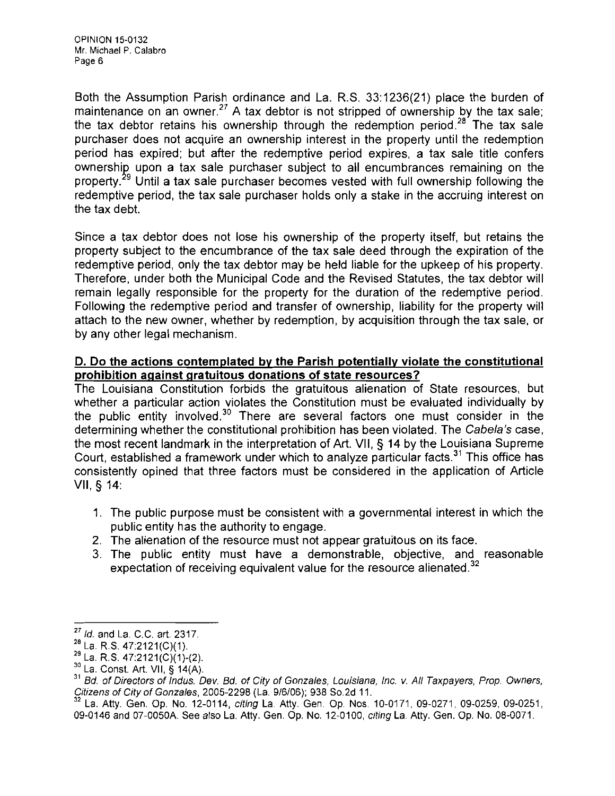Both the Assumption Parish ordinance and La. R.S. 33:1236(21) place the burden of maintenance on an owner.<sup>27</sup> A tax debtor is not stripped of ownership by the tax sale; the tax debtor retains his ownership through the redemption period.<sup>28</sup> The tax sale purchaser does not acquire an ownership interest in the property until the redemption period has expired; but after the redemptive period expires, a tax sale title confers ownershig upon a tax sale purchaser subject to all encumbrances remaining on the property.<sup>29</sup> Until a tax sale purchaser becomes vested with full ownership following the redemptive period, the tax sale purchaser holds only a stake in the accruing interest on the tax debt.

Since a tax debtor does not lose his ownership of the property itself, but retains the property subject to the encumbrance of the tax sale deed through the expiration of the redemptive period, only the tax debtor may be held liable for the upkeep of his property. Therefore, under both the Municipal Code and the Revised Statutes, the tax debtor will remain legally responsible for the property for the duration of the redemptive period. Following the redemptive period and transfer of ownership, liability for the property will attach to the new owner, whether by redemption, by acquisition through the tax sale, or by any other legal mechanism.

## **D. Do the actions contemplated by the Parish potentially violate the constitutional prohibition against gratuitous donations of state resources?**

The Louisiana Constitution forbids the gratuitous alienation of State resources, but whether a particular action violates the Constitution must be evaluated individually by the public entity involved. $30$  There are several factors one must consider in the determining whether the constitutional prohibition has been violated. The Cabela's case, the most recent landmark in the interpretation of Art. VII, § **14** by the Louisiana Supreme Court, established a framework under which to analyze particular facts.<sup>31</sup> This office has consistently opined that three factors must be considered in the application of Article VII, § 14:

- 1. The public purpose must be consistent with a governmental interest in which the public entity has the authority to engage.
- 2. The alienation of the resource must not appear gratuitous on its face.
- 3. The public entity must have a demonstrable, objective, and reasonable expectation of receiving equivalent value for the resource alienated.<sup>32</sup>

*<sup>27</sup>*Id. and La. C.C. art. 2317.

 $^{28}$  La. R.S. 47:2121(C)(1).

 $^{29}$  La. R.S. 47:2121(C)(1)-(2).

<sup>&</sup>lt;sup>30</sup> La. Const. Art. VII, § 14(A).

<sup>&</sup>lt;sup>31</sup> Bd. of Directors of Indus. Dev. Bd. of City of Gonzales, Louisiana, Inc. v. All Taxpayers, Prop. Owners, Citizens of City of Gonzales, 2005-2298 (La. 9/6/06); 938 So.2d 11.

<sup>32</sup> La. Atty. Gen. Op. No. 12-0114, citing La. Atty. Gen Op. Nos. 10-0171, 09-0271, 09-0259, 09-0251, 09-0146 and 07-0050A See also La. Atty. Gen. Op. No. 12-0100, citing La. Atty. Gen. Op. No. 08-0071.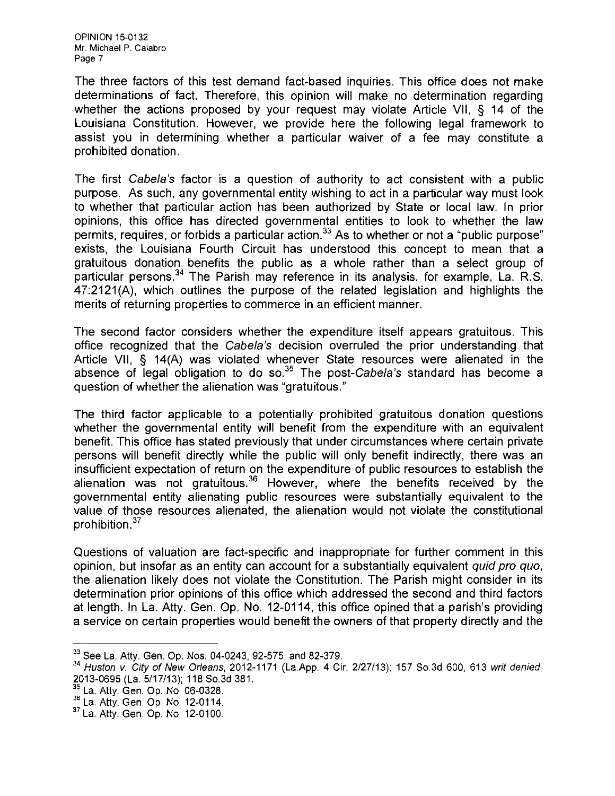OPINION 15-0132 Mr. Michael P. Calabro Page 7

The three factors of this test demand fact-based inquiries. This office does not make determinations of fact. Therefore, this opinion will make no determination regarding whether the actions proposed by your request may violate Article VII, § 14 of the Louisiana Constitution. However, we provide here the following legal framework to assist you in determining whether a particular waiver of a fee may constitute a prohibited donation.

The first Cabela's factor is a question of authority to act consistent with a public purpose. As such, any governmental entity wishing to act in a particular way must look to whether that particular action has been authorized by State or local law. In prior opinions, this office has directed governmental entities to look to whether the law permits, requires, or forbids a particular action. $33$  As to whether or not a "public purpose" exists, the Louisiana Fourth Circuit has understood this concept to mean that a gratuitous donation benefits the public as a whole rather than a select group of particular persons.<sup>34</sup> The Parish may reference in its analysis, for example, La. R.S. 47:2121(A), which outlines the purpose of the related legislation and highlights the merits of returning properties to commerce in an efficient manner.

The second factor considers whether the expenditure itself appears gratuitous. This office recognized that the Gabe/a's decision overruled the prior understanding that Article VII, § 14(A) was violated whenever State resources were alienated in the absence of legal obligation to do so. $35$  The post-Cabela's standard has become a question of whether the alienation was "gratuitous."

The third factor applicable to a potentially prohibited gratuitous donation questions whether the governmental entity will benefit from the expenditure with an equivalent benefit. This office has stated previously that under circumstances where certain private persons will benefit directly while the public will only benefit indirectly, there was an insufficient expectation of return on the expenditure of public resources to establish the alienation was not gratuitous.  $36$  However, where the benefits received by the governmental entity alienating public resources were substantially equivalent to the value of those resources alienated, the alienation would not violate the constitutional prohibition. $37$ 

Questions of valuation are fact-specific and inappropriate for further comment in this opinion, but insofar as an entity can account for a substantially equivalent quid pro quo, the alienation likely does not violate the Constitution. The Parish might consider in its determination prior opinions of this office which addressed the second and third factors at length. In La. Atty. Gen. Op, No. 12-0114, this office opined that a parish's providing a service on certain properties would benefit the owners of that property directly and the

 $33$  See La. Atty. Gen. Op. Nos. 04-0243, 92-575, and 82-379.

*<sup>34</sup>* Huston v. City of New Orleans, 2012-1171 (La.App. 4 Cir. 2/27/13); 157 SO.3d 600,613 writ denied, 2013-0695 (La. 5/17/13); 118 So.3d 381.

<sup>&</sup>lt;sup>35</sup> La. Atty. Gen. Op. No. 06-0328.

La. Atty. Gen. Op. No. 06-0328. <sup>36</sup>La. Atty. Gen. Op. No. 12-0114.

<sup>&</sup>lt;sup>37</sup> La. Atty. Gen. Op. No. 12-0100.